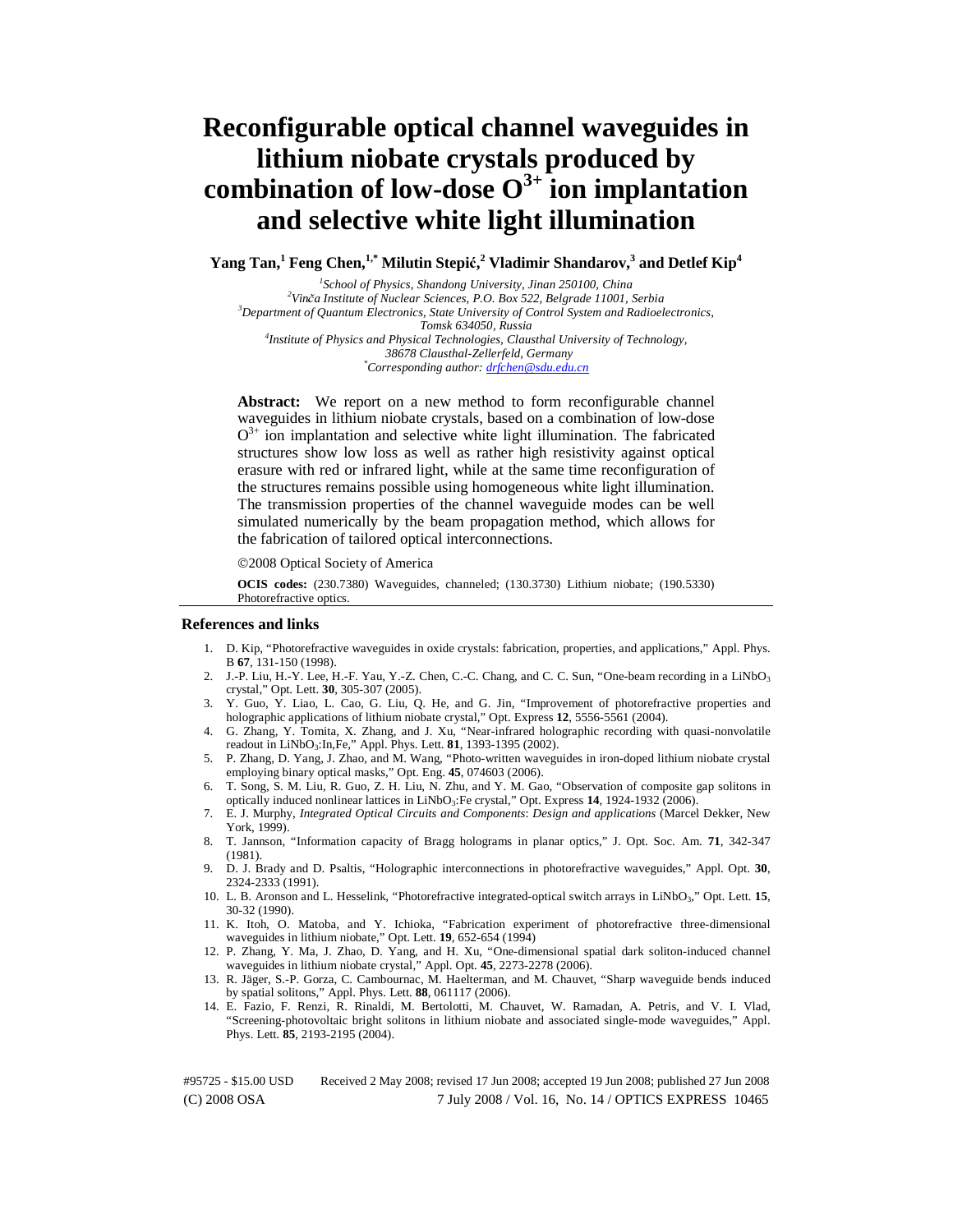# **Reconfigurable optical channel waveguides in lithium niobate crystals produced by combination of low-dose O3+ ion implantation and selective white light illumination**

**Yang Tan,<sup>1</sup> Feng Chen,<sup>1,\*</sup> Milutin Stepić,<sup>2</sup> Vladimir Shandarov,<sup>3</sup> and Detlef Kip<sup>4</sup><br>** *Is that I Cherine Shardow Harmin From 250400 China* 

<sup>1</sup>School of Physics, Shandong University, Jinan 250100, China *School of Physics, Shandong University, Jinan 250100, China 2 Vin*č*a Institute of Nuclear Sciences, P.O. Box 522, Belgrade 11001, Serbia 3 Department of Quantum Electronics, State University of Control System and Radioelectronics, Tomsk 634050, Russia 4 Institute of Physics and Physical Technologies, Clausthal University of Technology, 38678 Clausthal-Zellerfeld, Germany \* Corresponding author: drfchen@sdu.edu.cn* 

**Abstract:** We report on a new method to form reconfigurable channel waveguides in lithium niobate crystals, based on a combination of low-dose  $O<sup>3+</sup>$  ion implantation and selective white light illumination. The fabricated structures show low loss as well as rather high resistivity against optical erasure with red or infrared light, while at the same time reconfiguration of the structures remains possible using homogeneous white light illumination. The transmission properties of the channel waveguide modes can be well simulated numerically by the beam propagation method, which allows for the fabrication of tailored optical interconnections.

©2008 Optical Society of America

**OCIS codes:** (230.7380) Waveguides, channeled; (130.3730) Lithium niobate; (190.5330) Photorefractive optics.

#### **References and links**

- 1. D. Kip, "Photorefractive waveguides in oxide crystals: fabrication, properties, and applications," Appl. Phys. B **67**, 131-150 (1998).
- 2. J.-P. Liu, H.-Y. Lee, H.-F. Yau, Y.-Z. Chen, C.-C. Chang, and C. C. Sun, "One-beam recording in a LiNbO<sub>3</sub> crystal," Opt. Lett. **30**, 305-307 (2005).
- 3. Y. Guo, Y. Liao, L. Cao, G. Liu, Q. He, and G. Jin, "Improvement of photorefractive properties and holographic applications of lithium niobate crystal," Opt. Express **12**, 5556-5561 (2004).
- 4. G. Zhang, Y. Tomita, X. Zhang, and J. Xu, "Near-infrared holographic recording with quasi-nonvolatile readout in LiNbO3:In,Fe," Appl. Phys. Lett. **81**, 1393-1395 (2002).
- 5. P. Zhang, D. Yang, J. Zhao, and M. Wang, "Photo-written waveguides in iron-doped lithium niobate crystal employing binary optical masks," Opt. Eng. **45**, 074603 (2006).
- 6. T. Song, S. M. Liu, R. Guo, Z. H. Liu, N. Zhu, and Y. M. Gao, "Observation of composite gap solitons in optically induced nonlinear lattices in LiNbO3:Fe crystal," Opt. Express **14**, 1924-1932 (2006).
- 7. E. J. Murphy, *Integrated Optical Circuits and Components*: *Design and applications* (Marcel Dekker, New York, 1999).
- 8. T. Jannson, "Information capacity of Bragg holograms in planar optics," J. Opt. Soc. Am. **71**, 342-347 (1981).
- 9. D. J. Brady and D. Psaltis, "Holographic interconnections in photorefractive waveguides," Appl. Opt. **30**, 2324-2333 (1991).
- 10. L. B. Aronson and L. Hesselink, "Photorefractive integrated-optical switch arrays in LiNbO3," Opt. Lett. **15**, 30-32 (1990).
- 11. K. Itoh, O. Matoba, and Y. Ichioka, "Fabrication experiment of photorefractive three-dimensional waveguides in lithium niobate," Opt. Lett. **19**, 652-654 (1994)
- 12. P. Zhang, Y. Ma, J. Zhao, D. Yang, and H. Xu, "One-dimensional spatial dark soliton-induced channel waveguides in lithium niobate crystal," Appl. Opt. **45**, 2273-2278 (2006).
- 13. R. Jäger, S.-P. Gorza, C. Cambournac, M. Haelterman, and M. Chauvet, "Sharp waveguide bends induced by spatial solitons," Appl. Phys. Lett. **88**, 061117 (2006).
- 14. E. Fazio, F. Renzi, R. Rinaldi, M. Bertolotti, M. Chauvet, W. Ramadan, A. Petris, and V. I. Vlad, "Screening-photovoltaic bright solitons in lithium niobate and associated single-mode waveguides," Appl. Phys. Lett. **85**, 2193-2195 (2004).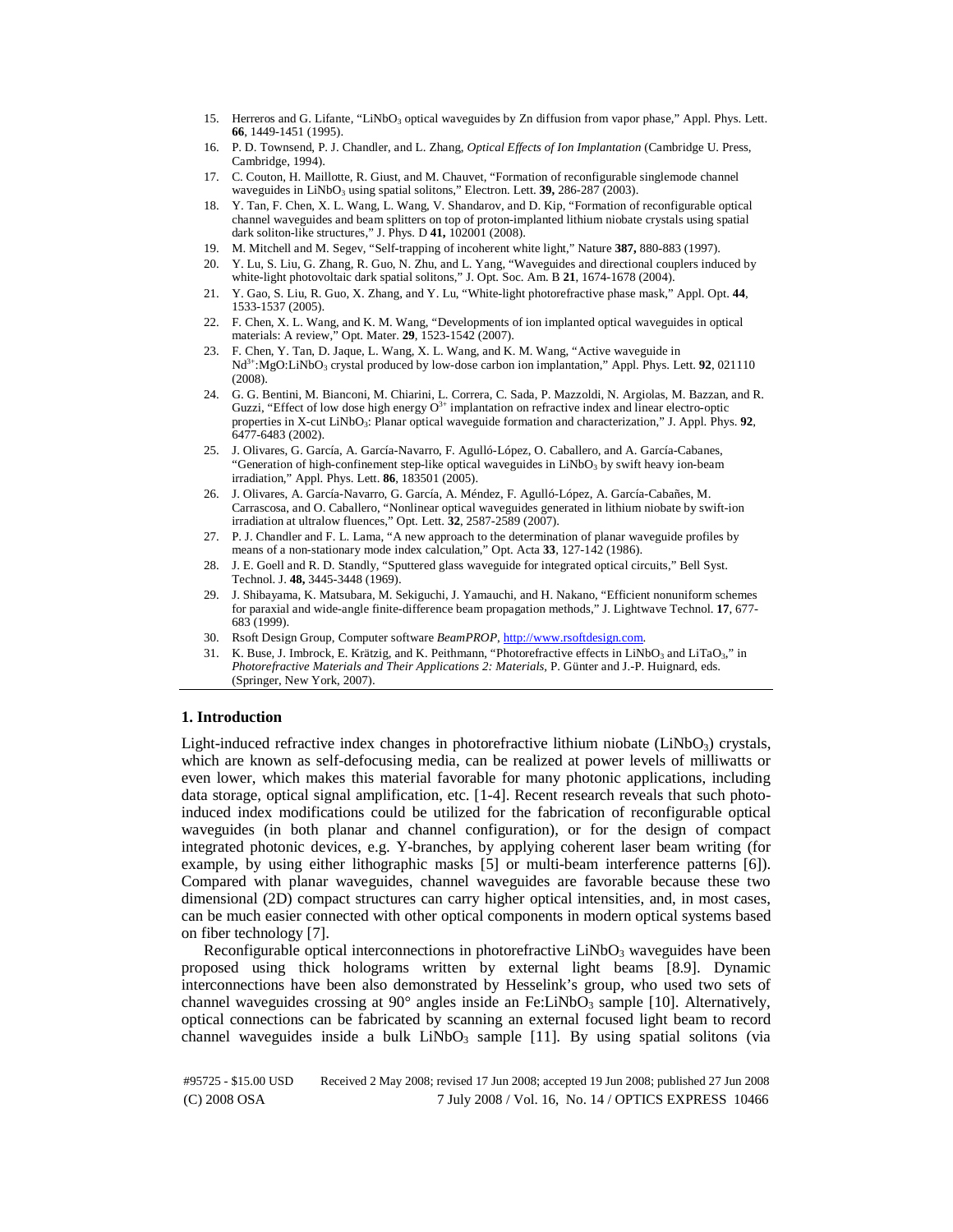- 15. Herreros and G. Lifante, "LiNbO<sub>3</sub> optical waveguides by Zn diffusion from vapor phase," Appl. Phys. Lett. **66**, 1449-1451 (1995).
- 16. P. D. Townsend, P. J. Chandler, and L. Zhang, *Optical Effects of Ion Implantation* (Cambridge U. Press, Cambridge, 1994).
- 17. C. Couton, H. Maillotte, R. Giust, and M. Chauvet, "Formation of reconfigurable singlemode channel waveguides in LiNbO<sub>3</sub> using spatial solitons," Electron. Lett. **39,** 286-287 (2003).
- 18. Y. Tan, F. Chen, X. L. Wang, L. Wang, V. Shandarov, and D. Kip, "Formation of reconfigurable optical channel waveguides and beam splitters on top of proton-implanted lithium niobate crystals using spatial dark soliton-like structures," J. Phys. D **41,** 102001 (2008).
- 19. M. Mitchell and M. Segev, "Self-trapping of incoherent white light," Nature **387,** 880-883 (1997).
- 20. Y. Lu, S. Liu, G. Zhang, R. Guo, N. Zhu, and L. Yang, "Waveguides and directional couplers induced by white-light photovoltaic dark spatial solitons," J. Opt. Soc. Am. B **21**, 1674-1678 (2004).
- 21. Y. Gao, S. Liu, R. Guo, X. Zhang, and Y. Lu, "White-light photorefractive phase mask," Appl. Opt. **44**, 1533-1537 (2005).
- 22. F. Chen, X. L. Wang, and K. M. Wang, "Developments of ion implanted optical waveguides in optical materials: A review," Opt. Mater. **29**, 1523-1542 (2007).
- 23. F. Chen, Y. Tan, D. Jaque, L. Wang, X. L. Wang, and K. M. Wang, "Active waveguide in Nd<sup>3+</sup>:MgO:LiNbO<sub>3</sub> crystal produced by low-dose carbon ion implantation," Appl. Phys. Lett. **92**, 021110 (2008).
- 24. G. G. Bentini, M. Bianconi, M. Chiarini, L. Correra, C. Sada, P. Mazzoldi, N. Argiolas, M. Bazzan, and R. Guzzi, "Effect of low dose high energy  $O<sup>3+</sup>$  implantation on refractive index and linear electro-optic properties in X-cut LiNbO3: Planar optical waveguide formation and characterization," J. Appl. Phys. **92**, 6477-6483 (2002).
- 25. J. Olivares, G. García, A. García-Navarro, F. Agulló-López, O. Caballero, and A. García-Cabanes, "Generation of high-confinement step-like optical waveguides in  $LiNbO<sub>3</sub>$  by swift heavy ion-beam irradiation," Appl. Phys. Lett. **86**, 183501 (2005).
- 26. J. Olivares, A. García-Navarro, G. García, A. Méndez, F. Agulló-López, A. García-Cabañes, M. Carrascosa, and O. Caballero, "Nonlinear optical waveguides generated in lithium niobate by swift-ion irradiation at ultralow fluences," Opt. Lett. **32**, 2587-2589 (2007).
- 27. P. J. Chandler and F. L. Lama, "A new approach to the determination of planar waveguide profiles by means of a non-stationary mode index calculation," Opt. Acta **33**, 127-142 (1986).
- 28. J. E. Goell and R. D. Standly, "Sputtered glass waveguide for integrated optical circuits," Bell Syst. Technol. J. **48,** 3445-3448 (1969).
- 29. J. Shibayama, K. Matsubara, M. Sekiguchi, J. Yamauchi, and H. Nakano, "Efficient nonuniform schemes for paraxial and wide-angle finite-difference beam propagation methods," J. Lightwave Technol. **17**, 677- 683 (1999).
- 30. Rsoft Design Group, Computer software *BeamPROP*, http://www.rsoftdesign.com.
- 31. K. Buse, J. Imbrock, E. Krätzig, and K. Peithmann, "Photorefractive effects in LiNbO<sub>3</sub> and LiTaO<sub>3</sub>," in *Photorefractive Materials and Their Applications 2: Materials,* P. Günter and J.-P. Huignard, eds. (Springer, New York, 2007).

### **1. Introduction**

Light-induced refractive index changes in photorefractive lithium niobate (LiNbO $_3$ ) crystals, which are known as self-defocusing media, can be realized at power levels of milliwatts or even lower, which makes this material favorable for many photonic applications, including data storage, optical signal amplification, etc. [1-4]. Recent research reveals that such photoinduced index modifications could be utilized for the fabrication of reconfigurable optical waveguides (in both planar and channel configuration), or for the design of compact integrated photonic devices, e.g. Y-branches, by applying coherent laser beam writing (for example, by using either lithographic masks [5] or multi-beam interference patterns [6]). Compared with planar waveguides, channel waveguides are favorable because these two dimensional (2D) compact structures can carry higher optical intensities, and, in most cases, can be much easier connected with other optical components in modern optical systems based on fiber technology [7].

Reconfigurable optical interconnections in photorefractive  $LiNbO<sub>3</sub>$  waveguides have been proposed using thick holograms written by external light beams [8.9]. Dynamic interconnections have been also demonstrated by Hesselink's group, who used two sets of channel waveguides crossing at  $90^{\circ}$  angles inside an Fe:LiNbO<sub>3</sub> sample [10]. Alternatively, optical connections can be fabricated by scanning an external focused light beam to record channel waveguides inside a bulk  $LiNbO<sub>3</sub>$  sample [11]. By using spatial solitons (via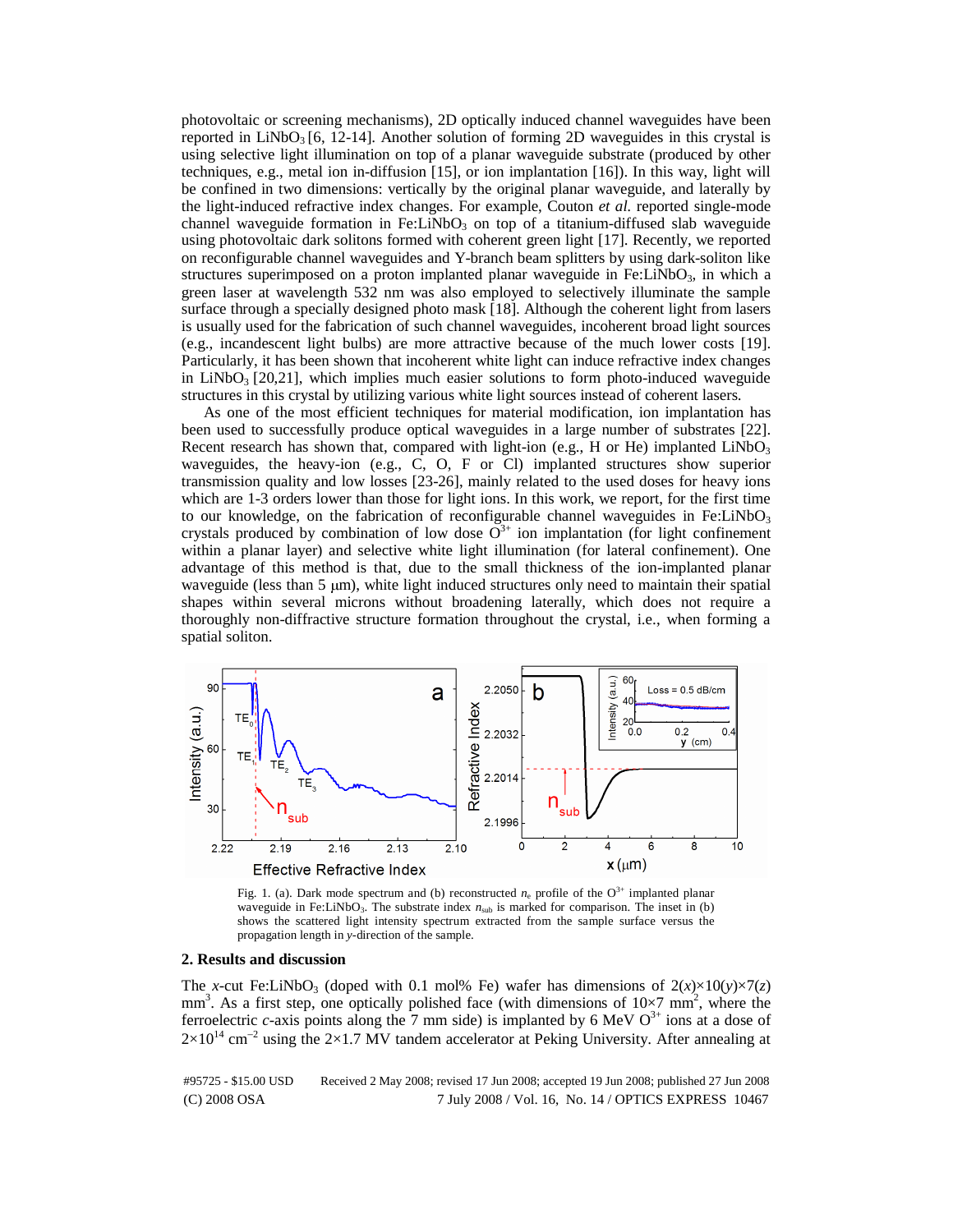photovoltaic or screening mechanisms), 2D optically induced channel waveguides have been reported in  $LiNbO<sub>3</sub>$  [6, 12-14]. Another solution of forming 2D waveguides in this crystal is using selective light illumination on top of a planar waveguide substrate (produced by other techniques, e.g., metal ion in-diffusion [15], or ion implantation [16]). In this way, light will be confined in two dimensions: vertically by the original planar waveguide, and laterally by the light-induced refractive index changes. For example, Couton *et al.* reported single-mode channel waveguide formation in Fe: $LiNbO<sub>3</sub>$  on top of a titanium-diffused slab waveguide using photovoltaic dark solitons formed with coherent green light [17]. Recently, we reported on reconfigurable channel waveguides and Y-branch beam splitters by using dark-soliton like structures superimposed on a proton implanted planar waveguide in Fe: $LiNbO<sub>3</sub>$ , in which a green laser at wavelength 532 nm was also employed to selectively illuminate the sample surface through a specially designed photo mask [18]. Although the coherent light from lasers is usually used for the fabrication of such channel waveguides, incoherent broad light sources (e.g., incandescent light bulbs) are more attractive because of the much lower costs [19]. Particularly, it has been shown that incoherent white light can induce refractive index changes in LiNbO<sub>3</sub> [20,21], which implies much easier solutions to form photo-induced waveguide structures in this crystal by utilizing various white light sources instead of coherent lasers.

As one of the most efficient techniques for material modification, ion implantation has been used to successfully produce optical waveguides in a large number of substrates [22]. Recent research has shown that, compared with light-ion (e.g., H or He) implanted LiNbO<sub>3</sub> waveguides, the heavy-ion (e.g., C, O, F or Cl) implanted structures show superior transmission quality and low losses [23-26], mainly related to the used doses for heavy ions which are 1-3 orders lower than those for light ions. In this work, we report, for the first time to our knowledge, on the fabrication of reconfigurable channel waveguides in Fe: $LiNbO<sub>3</sub>$ crystals produced by combination of low dose  $O^{3+}$  ion implantation (for light confinement within a planar layer) and selective white light illumination (for lateral confinement). One advantage of this method is that, due to the small thickness of the ion-implanted planar waveguide (less than 5  $\mu$ m), white light induced structures only need to maintain their spatial shapes within several microns without broadening laterally, which does not require a thoroughly non-diffractive structure formation throughout the crystal, i.e., when forming a spatial soliton.



Fig. 1. (a). Dark mode spectrum and (b) reconstructed  $n_e$  profile of the O<sup>3+</sup> implanted planar waveguide in Fe:LiNbO<sub>3</sub>. The substrate index  $n<sub>sub</sub>$  is marked for comparison. The inset in (b) shows the scattered light intensity spectrum extracted from the sample surface versus the propagation length in *y*-direction of the sample.

#### **2. Results and discussion**

The *x*-cut Fe:LiNbO<sub>3</sub> (doped with 0.1 mol% Fe) wafer has dimensions of  $2(x) \times 10(y) \times 7(z)$  $mm<sup>3</sup>$ . As a first step, one optically polished face (with dimensions of  $10\times7$  mm<sup>2</sup>, where the ferroelectric *c*-axis points along the 7 mm side) is implanted by 6 MeV  $O<sup>3+</sup>$  ions at a dose of  $2\times10^{14}$  cm<sup>-2</sup> using the 2×1.7 MV tandem accelerator at Peking University. After annealing at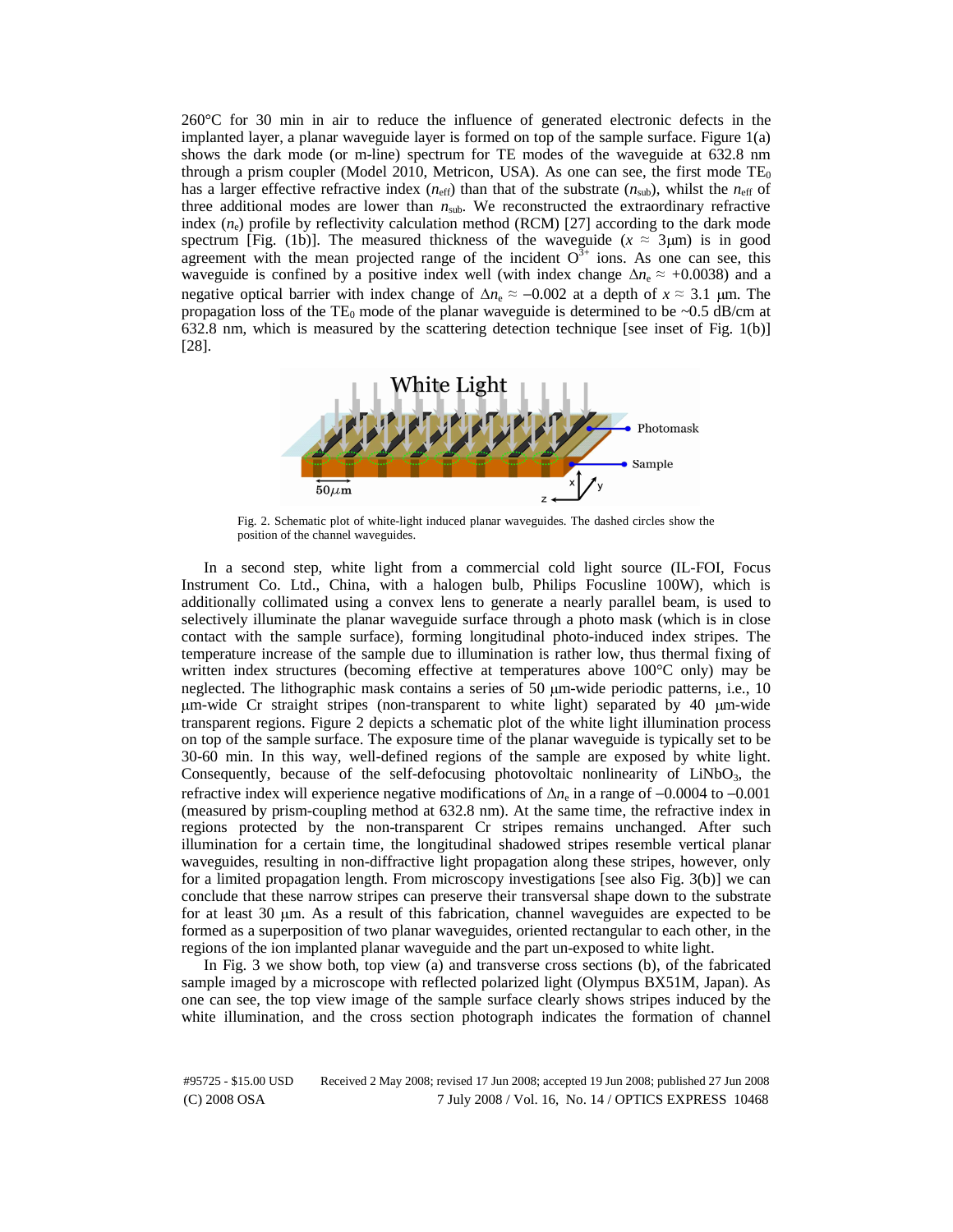260°C for 30 min in air to reduce the influence of generated electronic defects in the implanted layer, a planar waveguide layer is formed on top of the sample surface. Figure 1(a) shows the dark mode (or m-line) spectrum for TE modes of the waveguide at 632.8 nm through a prism coupler (Model 2010, Metricon, USA). As one can see, the first mode  $TE_0$ has a larger effective refractive index  $(n_{\text{eff}})$  than that of the substrate  $(n_{\text{sub}})$ , whilst the  $n_{\text{eff}}$  of three additional modes are lower than  $n_{sub}$ . We reconstructed the extraordinary refractive index  $(n_e)$  profile by reflectivity calculation method (RCM) [27] according to the dark mode spectrum [Fig. (1b)]. The measured thickness of the waveguide ( $x \approx 3 \mu m$ ) is in good agreement with the mean projected range of the incident  $O^{3+}$  ions. As one can see, this waveguide is confined by a positive index well (with index change  $\Delta n_e \approx +0.0038$ ) and a negative optical barrier with index change of  $\Delta n_e \approx -0.002$  at a depth of  $x \approx 3.1$  µm. The negative optical barrier with index change of  $\Delta n_e \approx -0.002$  at a depth of  $x \approx 3.1$  μm. The propagation loss of the TE<sub>0</sub> mode of the planar waveguide is determined to be ~0.5 dB/cm at 632.8 nm, which is measured by the scattering detection technique [see inset of Fig. 1(b)] [28].



Fig. 2. Schematic plot of white-light induced planar waveguides. The dashed circles show the position of the channel waveguides.

In a second step, white light from a commercial cold light source (IL-FOI, Focus Instrument Co. Ltd., China, with a halogen bulb, Philips Focusline 100W), which is additionally collimated using a convex lens to generate a nearly parallel beam, is used to selectively illuminate the planar waveguide surface through a photo mask (which is in close contact with the sample surface), forming longitudinal photo-induced index stripes. The temperature increase of the sample due to illumination is rather low, thus thermal fixing of written index structures (becoming effective at temperatures above 100°C only) may be neglected. The lithographic mask contains a series of 50 μm-wide periodic patterns, i.e., 10 <sup>μ</sup>m-wide Cr straight stripes (non-transparent to white light) separated by 40 μm-wide transparent regions. Figure 2 depicts a schematic plot of the white light illumination process on top of the sample surface. The exposure time of the planar waveguide is typically set to be 30-60 min. In this way, well-defined regions of the sample are exposed by white light. Consequently, because of the self-defocusing photovoltaic nonlinearity of  $LiNbO<sub>3</sub>$ , the refractive index will experience negative modifications of Δ*n*<sup>e</sup> in a range of −0.0004 to −0.001 (measured by prism-coupling method at 632.8 nm). At the same time, the refractive index in regions protected by the non-transparent Cr stripes remains unchanged. After such illumination for a certain time, the longitudinal shadowed stripes resemble vertical planar waveguides, resulting in non-diffractive light propagation along these stripes, however, only for a limited propagation length. From microscopy investigations [see also Fig. 3(b)] we can conclude that these narrow stripes can preserve their transversal shape down to the substrate for at least 30 μm. As a result of this fabrication, channel waveguides are expected to be formed as a superposition of two planar waveguides, oriented rectangular to each other, in the regions of the ion implanted planar waveguide and the part un-exposed to white light.

In Fig. 3 we show both, top view (a) and transverse cross sections (b), of the fabricated sample imaged by a microscope with reflected polarized light (Olympus BX51M, Japan). As one can see, the top view image of the sample surface clearly shows stripes induced by the white illumination, and the cross section photograph indicates the formation of channel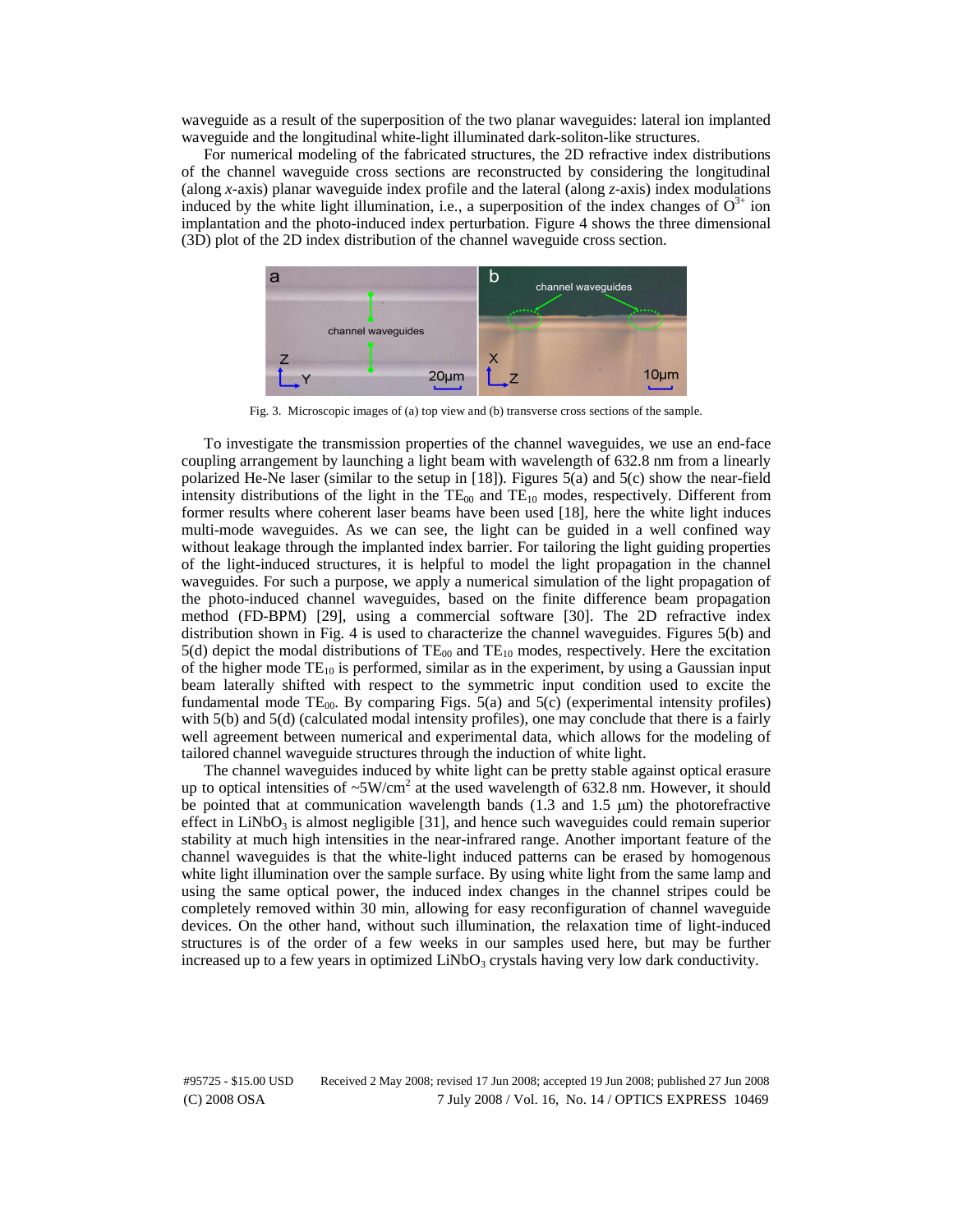waveguide as a result of the superposition of the two planar waveguides: lateral ion implanted waveguide and the longitudinal white-light illuminated dark-soliton-like structures.

For numerical modeling of the fabricated structures, the 2D refractive index distributions of the channel waveguide cross sections are reconstructed by considering the longitudinal (along *x-*axis) planar waveguide index profile and the lateral (along *z-*axis) index modulations induced by the white light illumination, i.e., a superposition of the index changes of  $O^{3+}$  ion implantation and the photo-induced index perturbation. Figure 4 shows the three dimensional (3D) plot of the 2D index distribution of the channel waveguide cross section.



Fig. 3. Microscopic images of (a) top view and (b) transverse cross sections of the sample.

To investigate the transmission properties of the channel waveguides, we use an end-face coupling arrangement by launching a light beam with wavelength of 632.8 nm from a linearly polarized He-Ne laser (similar to the setup in [18]). Figures 5(a) and 5(c) show the near-field intensity distributions of the light in the  $TE_{00}$  and  $TE_{10}$  modes, respectively. Different from former results where coherent laser beams have been used [18], here the white light induces multi-mode waveguides. As we can see, the light can be guided in a well confined way without leakage through the implanted index barrier. For tailoring the light guiding properties of the light-induced structures, it is helpful to model the light propagation in the channel waveguides. For such a purpose, we apply a numerical simulation of the light propagation of the photo-induced channel waveguides, based on the finite difference beam propagation method (FD-BPM) [29], using a commercial software [30]. The 2D refractive index distribution shown in Fig. 4 is used to characterize the channel waveguides. Figures 5(b) and 5(d) depict the modal distributions of  $TE_{00}$  and  $TE_{10}$  modes, respectively. Here the excitation of the higher mode  $TE_{10}$  is performed, similar as in the experiment, by using a Gaussian input beam laterally shifted with respect to the symmetric input condition used to excite the fundamental mode TE<sub>00</sub>. By comparing Figs. 5(a) and 5(c) (experimental intensity profiles) with 5(b) and 5(d) (calculated modal intensity profiles), one may conclude that there is a fairly well agreement between numerical and experimental data, which allows for the modeling of tailored channel waveguide structures through the induction of white light.

The channel waveguides induced by white light can be pretty stable against optical erasure up to optical intensities of  $\sim 5$ W/cm<sup>2</sup> at the used wavelength of 632.8 nm. However, it should be pointed that at communication wavelength bands (1.3 and 1.5 μm) the photorefractive effect in  $LiNbO<sub>3</sub>$  is almost negligible [31], and hence such waveguides could remain superior stability at much high intensities in the near-infrared range. Another important feature of the channel waveguides is that the white-light induced patterns can be erased by homogenous white light illumination over the sample surface. By using white light from the same lamp and using the same optical power, the induced index changes in the channel stripes could be completely removed within 30 min, allowing for easy reconfiguration of channel waveguide devices. On the other hand, without such illumination, the relaxation time of light-induced structures is of the order of a few weeks in our samples used here, but may be further increased up to a few years in optimized  $LiNbO<sub>3</sub>$  crystals having very low dark conductivity.